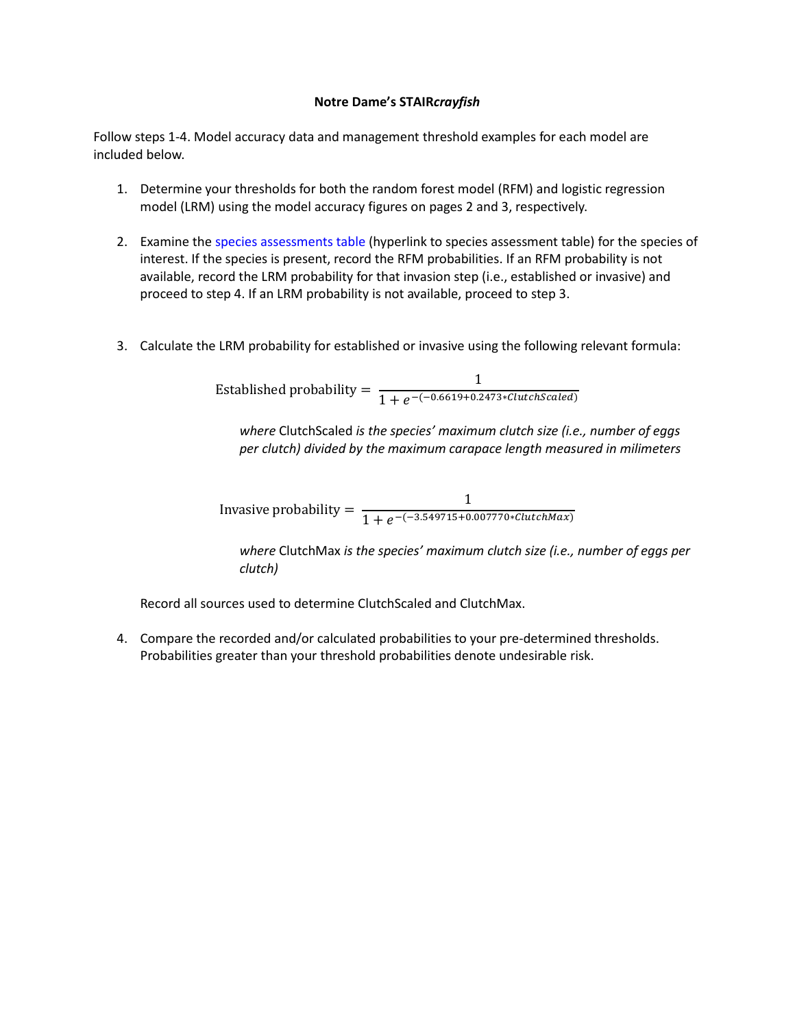## **Notre Dame's STAIR***crayfish*

Follow steps 1-4. Model accuracy data and management threshold examples for each model are included below.

- 1. Determine your thresholds for both the random forest model (RFM) and logistic regression model (LRM) using the model accuracy figures on pages 2 and 3, respectively.
- 2. Examine the species assessments table (hyperlink to species assessment table) for the species of interest. If the species is present, record the RFM probabilities. If an RFM probability is not available, record the LRM probability for that invasion step (i.e., established or invasive) and proceed to step 4. If an LRM probability is not available, proceed to step 3.
- 3. Calculate the LRM probability for established or invasive using the following relevant formula:

Established probability =  $\frac{1}{1 + e^{-(-0.6619 + 0.2473 \cdot \text{ClutchScaled})}}$ 

*where* ClutchScaled *is the species' maximum clutch size (i.e., number of eggs per clutch) divided by the maximum carapace length measured in milimeters*

Invasive probability =  $\frac{1}{1 + e^{-(-3.549715 + 0.007770 * ClutchMax)}}$ 

*where* ClutchMax *is the species' maximum clutch size (i.e., number of eggs per clutch)*

Record all sources used to determine ClutchScaled and ClutchMax.

4. Compare the recorded and/or calculated probabilities to your pre-determined thresholds. Probabilities greater than your threshold probabilities denote undesirable risk.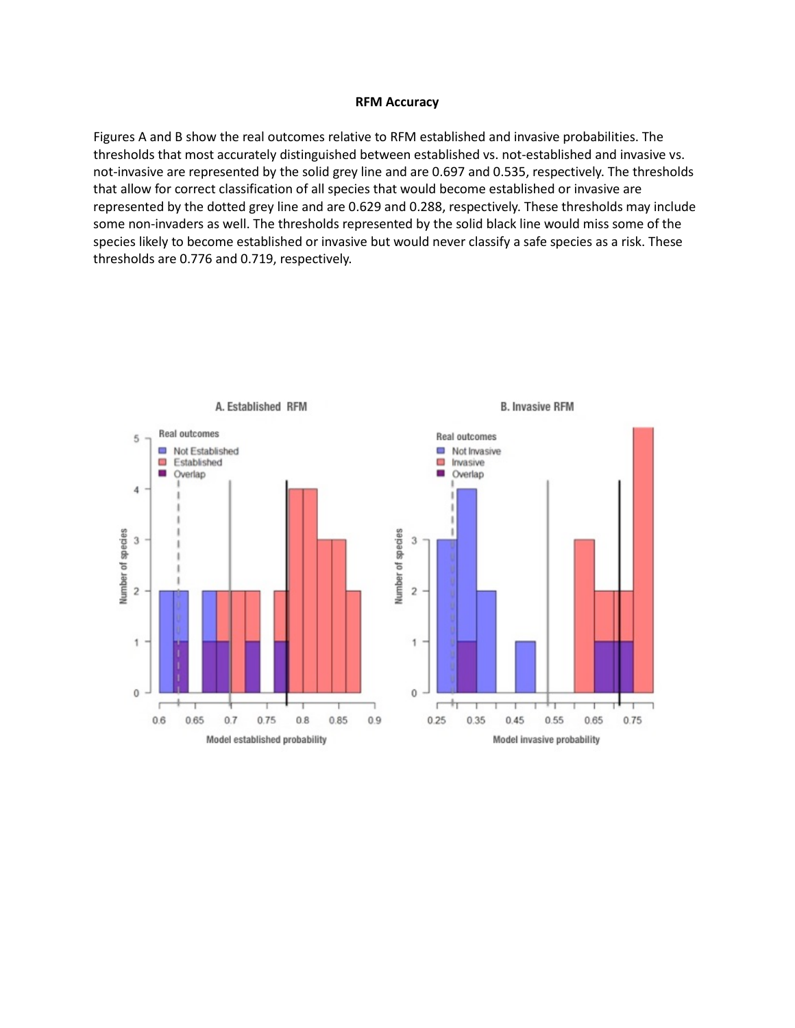## **RFM Accuracy**

Figures A and B show the real outcomes relative to RFM established and invasive probabilities. The thresholds that most accurately distinguished between established vs. not-established and invasive vs. not-invasive are represented by the solid grey line and are 0.697 and 0.535, respectively. The thresholds that allow for correct classification of all species that would become established or invasive are represented by the dotted grey line and are 0.629 and 0.288, respectively. These thresholds may include some non-invaders as well. The thresholds represented by the solid black line would miss some of the species likely to become established or invasive but would never classify a safe species as a risk. These thresholds are 0.776 and 0.719, respectively.